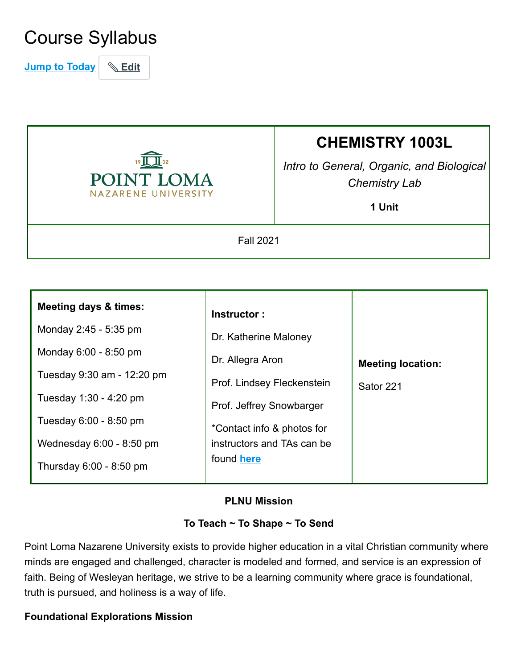## Course Syllabus

**Jump to Today Edit**



# **CHEMISTRY 1003L**

*Intro to General, Organic, and Biological Chemistry Lab*

**1 Unit**

Fall 2021

| <b>Meeting days &amp; times:</b> | Instructor:                |                          |
|----------------------------------|----------------------------|--------------------------|
| Monday 2:45 - 5:35 pm            | Dr. Katherine Maloney      |                          |
| Monday 6:00 - 8:50 pm            | Dr. Allegra Aron           | <b>Meeting location:</b> |
| Tuesday 9:30 am - 12:20 pm       | Prof. Lindsey Fleckenstein | Sator 221                |
| Tuesday 1:30 - 4:20 pm           | Prof. Jeffrey Snowbarger   |                          |
| Tuesday 6:00 - 8:50 pm           | *Contact info & photos for |                          |
| Wednesday $6:00 - 8:50$ pm       | instructors and TAs can be |                          |
| Thursday 6:00 - 8:50 pm          | found <b>here</b>          |                          |

#### **PLNU Mission**

#### **To Teach ~ To Shape ~ To Send**

Point Loma Nazarene University exists to provide higher education in a vital Christian community where minds are engaged and challenged, character is modeled and formed, and service is an expression of faith. Being of Wesleyan heritage, we strive to be a learning community where grace is foundational, truth is pursued, and holiness is a way of life.

#### **Foundational Explorations Mission**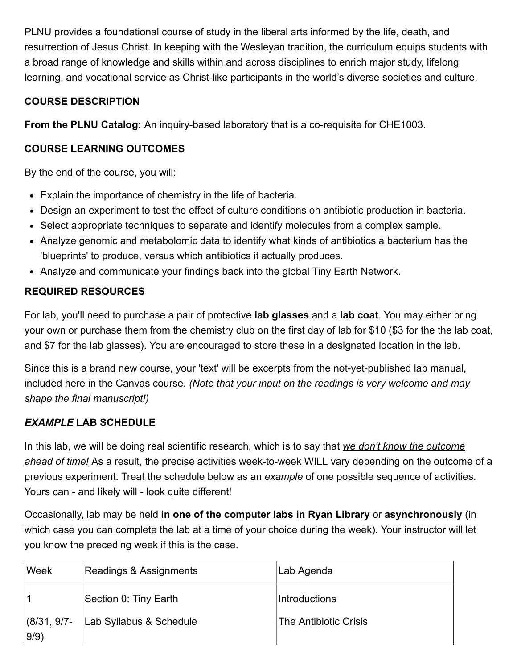PLNU provides a foundational course of study in the liberal arts informed by the life, death, and resurrection of Jesus Christ. In keeping with the Wesleyan tradition, the curriculum equips students with a broad range of knowledge and skills within and across disciplines to enrich major study, lifelong learning, and vocational service as Christ-like participants in the world's diverse societies and culture.

## **COURSE DESCRIPTION**

**From the PLNU Catalog:** An inquiry-based laboratory that is a co-requisite for CHE1003.

#### **COURSE LEARNING OUTCOMES**

By the end of the course, you will:

- Explain the importance of chemistry in the life of bacteria.
- Design an experiment to test the effect of culture conditions on antibiotic production in bacteria.
- Select appropriate techniques to separate and identify molecules from a complex sample.
- Analyze genomic and metabolomic data to identify what kinds of antibiotics a bacterium has the 'blueprints' to produce, versus which antibiotics it actually produces.
- Analyze and communicate your findings back into the global Tiny Earth Network.

## **REQUIRED RESOURCES**

For lab, you'll need to purchase a pair of protective **lab glasses** and a **lab coat**. You may either bring your own or purchase them from the chemistry club on the first day of lab for \$10 (\$3 for the the lab coat, and \$7 for the lab glasses). You are encouraged to store these in a designated location in the lab.

Since this is a brand new course, your 'text' will be excerpts from the not-yet-published lab manual, included here in the Canvas course. *(Note that your input on the readings is very welcome and may shape the final manuscript!)*

## *EXAMPLE* **LAB SCHEDULE**

In this lab, we will be doing real scientific research, which is to say that *we don't know the outcome ahead of time!* As a result, the precise activities week-to-week WILL vary depending on the outcome of a previous experiment. Treat the schedule below as an *example* of one possible sequence of activities. Yours can - and likely will - look quite different!

Occasionally, lab may be held **in one of the computer labs in Ryan Library** or **asynchronously** (in which case you can complete the lab at a time of your choice during the week). Your instructor will let you know the preceding week if this is the case.

| Week                    | Readings & Assignments  | Lab Agenda            |
|-------------------------|-------------------------|-----------------------|
|                         | Section 0: Tiny Earth   | Introductions         |
| $ (8/31, 9/7-$<br> 9/9) | Lab Syllabus & Schedule | The Antibiotic Crisis |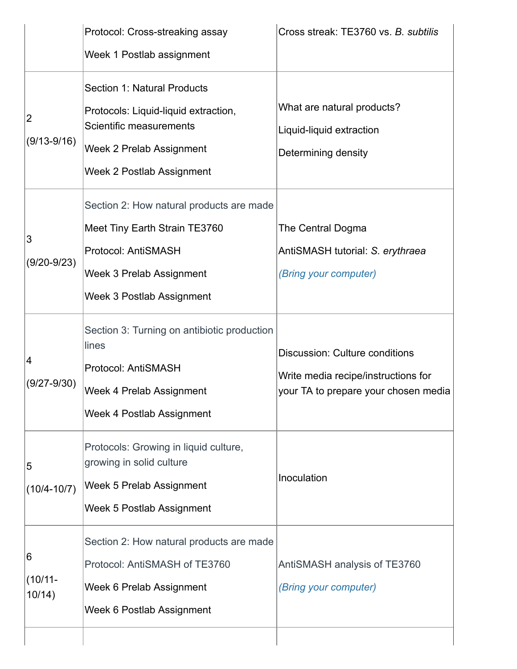|                                 | Protocol: Cross-streaking assay<br>Week 1 Postlab assignment                                                                                                          | Cross streak: TE3760 vs. B. subtilis                                                                                 |
|---------------------------------|-----------------------------------------------------------------------------------------------------------------------------------------------------------------------|----------------------------------------------------------------------------------------------------------------------|
| $\overline{2}$<br>$(9/13-9/16)$ | <b>Section 1: Natural Products</b><br>Protocols: Liquid-liquid extraction,<br>Scientific measurements<br>Week 2 Prelab Assignment<br><b>Week 2 Postlab Assignment</b> | What are natural products?<br>Liquid-liquid extraction<br>Determining density                                        |
| 3<br>$(9/20-9/23)$              | Section 2: How natural products are made<br>Meet Tiny Earth Strain TE3760<br>Protocol: AntiSMASH<br>Week 3 Prelab Assignment<br><b>Week 3 Postlab Assignment</b>      | The Central Dogma<br>AntiSMASH tutorial: S. erythraea<br>(Bring your computer)                                       |
| 4<br>$(9/27 - 9/30)$            | Section 3: Turning on antibiotic production<br>lines<br>Protocol: AntiSMASH<br><b>Week 4 Prelab Assignment</b><br>Week 4 Postlab Assignment                           | <b>Discussion: Culture conditions</b><br>Write media recipe/instructions for<br>your TA to prepare your chosen media |
| 5<br>$(10/4 - 10/7)$            | Protocols: Growing in liquid culture,<br>growing in solid culture<br>Week 5 Prelab Assignment<br>Week 5 Postlab Assignment                                            | Inoculation                                                                                                          |
| 6<br>$(10/11 -$<br>10/14)       | Section 2: How natural products are made<br>Protocol: AntiSMASH of TE3760<br>Week 6 Prelab Assignment<br>Week 6 Postlab Assignment                                    | AntiSMASH analysis of TE3760<br>(Bring your computer)                                                                |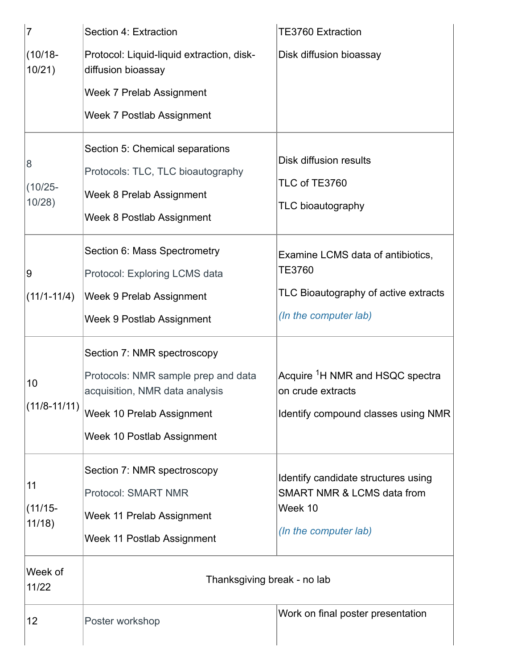| 7                         | Section 4: Extraction                                                                                                                                           | <b>TE3760 Extraction</b>                                                                                            |
|---------------------------|-----------------------------------------------------------------------------------------------------------------------------------------------------------------|---------------------------------------------------------------------------------------------------------------------|
| $(10/18 -$<br>10/21)      | Protocol: Liquid-liquid extraction, disk-<br>diffusion bioassay                                                                                                 | Disk diffusion bioassay                                                                                             |
|                           | Week 7 Prelab Assignment                                                                                                                                        |                                                                                                                     |
|                           | Week 7 Postlab Assignment                                                                                                                                       |                                                                                                                     |
| 8<br>$(10/25 -$<br>10/28) | Section 5: Chemical separations<br>Protocols: TLC, TLC bioautography<br>Week 8 Prelab Assignment<br><b>Week 8 Postlab Assignment</b>                            | Disk diffusion results<br>TLC of TE3760<br>TLC bioautography                                                        |
| 9<br>$(11/1-11/4)$        | Section 6: Mass Spectrometry<br>Protocol: Exploring LCMS data<br>Week 9 Prelab Assignment<br>Week 9 Postlab Assignment                                          | Examine LCMS data of antibiotics,<br><b>TE3760</b><br>TLC Bioautography of active extracts<br>(In the computer lab) |
| 10<br>$(11/8 - 11/11)$    | Section 7: NMR spectroscopy<br>Protocols: NMR sample prep and data<br>acquisition, NMR data analysis<br>Week 10 Prelab Assignment<br>Week 10 Postlab Assignment | Acquire <sup>1</sup> H NMR and HSQC spectra<br>on crude extracts<br>Identify compound classes using NMR             |
| 11<br>$(11/15 -$<br>11/18 | Section 7: NMR spectroscopy<br><b>Protocol: SMART NMR</b><br>Week 11 Prelab Assignment<br>Week 11 Postlab Assignment                                            | Identify candidate structures using<br><b>SMART NMR &amp; LCMS data from</b><br>Week 10<br>(In the computer lab)    |
| Week of<br>11/22          | Thanksgiving break - no lab                                                                                                                                     |                                                                                                                     |
| 12                        | Poster workshop                                                                                                                                                 | Work on final poster presentation                                                                                   |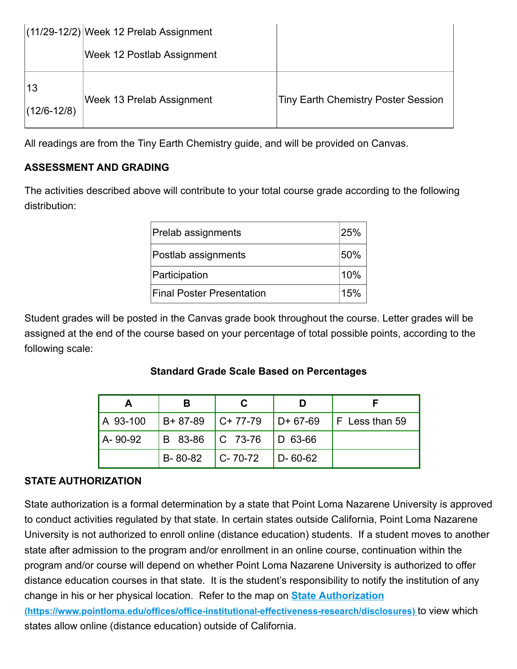|                       | $(11/29-12/2)$ Week 12 Prelab Assignment |                                            |
|-----------------------|------------------------------------------|--------------------------------------------|
|                       | Week 12 Postlab Assignment               |                                            |
| 13<br>$(12/6 - 12/8)$ | Week 13 Prelab Assignment                | <b>Tiny Earth Chemistry Poster Session</b> |

All readings are from the Tiny Earth Chemistry guide, and will be provided on Canvas.

## **ASSESSMENT AND GRADING**

The activities described above will contribute to your total course grade according to the following distribution:

| Prelab assignments               | 25% |
|----------------------------------|-----|
| Postlab assignments              | 50% |
| Participation                    | 10% |
| <b>Final Poster Presentation</b> | 15% |

Student grades will be posted in the Canvas grade book throughout the course. Letter grades will be assigned at the end of the course based on your percentage of total possible points, according to the following scale:

#### **Standard Grade Scale Based on Percentages**

| A 93-100 |                             |                             |                  | $ B+87-89 $ C+77-79 $ D+67-69 $ F Less than 59 |
|----------|-----------------------------|-----------------------------|------------------|------------------------------------------------|
| A-90-92  |                             | B 83-86   C 73-76   D 63-66 |                  |                                                |
|          | $B - 80 - 82$ $C - 70 - 72$ |                             | $\vert$ D- 60-62 |                                                |

#### **STATE AUTHORIZATION**

State authorization is a formal determination by a state that Point Loma Nazarene University is approved to conduct activities regulated by that state. In certain states outside California, Point Loma Nazarene University is not authorized to enroll online (distance education) students. If a student moves to another state after admission to the program and/or enrollment in an online course, continuation within the program and/or course will depend on whether Point Loma Nazarene University is authorized to offer distance education courses in that state. It is the student's responsibility to notify the institution of any change in his or her physical location. Refer to the map on **State Authorization**

**[\(https://www.pointloma.edu/offices/office-institutional-effectiveness-research/disclosures\)](https://www.pointloma.edu/offices/office-institutional-effectiveness-research/disclosures)** to view which states allow online (distance education) outside of California.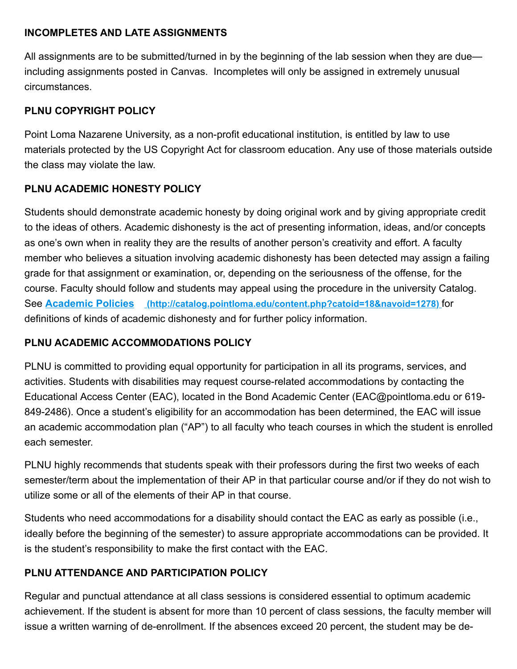#### **INCOMPLETES AND LATE ASSIGNMENTS**

All assignments are to be submitted/turned in by the beginning of the lab session when they are due including assignments posted in Canvas. Incompletes will only be assigned in extremely unusual circumstances.

## **PLNU COPYRIGHT POLICY**

Point Loma Nazarene University, as a non-profit educational institution, is entitled by law to use materials protected by the US Copyright Act for classroom education. Any use of those materials outside the class may violate the law.

## **PLNU ACADEMIC HONESTY POLICY**

Students should demonstrate academic honesty by doing original work and by giving appropriate credit to the ideas of others. Academic dishonesty is the act of presenting information, ideas, and/or concepts as one's own when in reality they are the results of another person's creativity and effort. A faculty member who believes a situation involving academic dishonesty has been detected may assign a failing grade for that assignment or examination, or, depending on the seriousness of the offense, for the course. Faculty should follow and students may appeal using the procedure in the university Catalog. See **Academic Policies [\(http://catalog.pointloma.edu/content.php?catoid=18&navoid=1278\)](http://catalog.pointloma.edu/content.php?catoid=18&navoid=1278)** for definitions of kinds of academic dishonesty and for further policy information.

#### **PLNU ACADEMIC ACCOMMODATIONS POLICY**

PLNU is committed to providing equal opportunity for participation in all its programs, services, and activities. Students with disabilities may request course-related accommodations by contacting the Educational Access Center (EAC), located in the Bond Academic Center (EAC@pointloma.edu or 619- 849-2486). Once a student's eligibility for an accommodation has been determined, the EAC will issue an academic accommodation plan ("AP") to all faculty who teach courses in which the student is enrolled each semester.

PLNU highly recommends that students speak with their professors during the first two weeks of each semester/term about the implementation of their AP in that particular course and/or if they do not wish to utilize some or all of the elements of their AP in that course.

Students who need accommodations for a disability should contact the EAC as early as possible (i.e., ideally before the beginning of the semester) to assure appropriate accommodations can be provided. It is the student's responsibility to make the first contact with the EAC.

## **PLNU ATTENDANCE AND PARTICIPATION POLICY**

Regular and punctual attendance at all class sessions is considered essential to optimum academic achievement. If the student is absent for more than 10 percent of class sessions, the faculty member will issue a written warning of de-enrollment. If the absences exceed 20 percent, the student may be de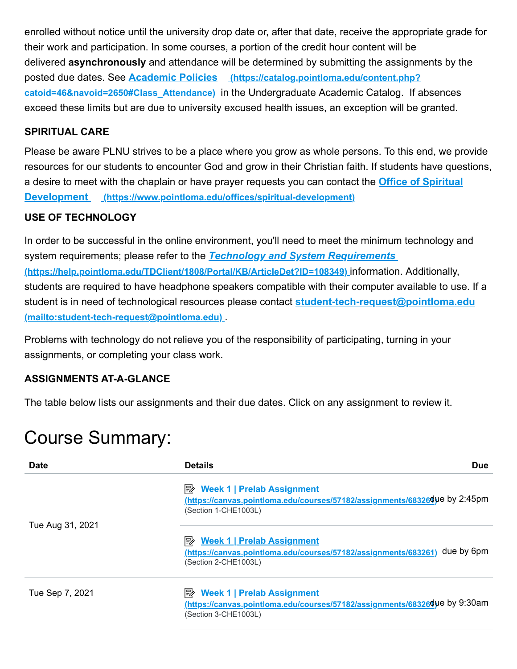enrolled without notice until the university drop date or, after that date, receive the appropriate grade for their work and participation. In some courses, a portion of the credit hour content will be delivered **asynchronously** and attendance will be determined by submitting the assignments by the posted due dates. See **Academic Policies (https://catalog.pointloma.edu/content.php? catoid=46&navoid=2650#Class\_Attendance)** [in the Undergraduate Academic Catalog. If a](https://catalog.pointloma.edu/content.php?catoid=46&navoid=2650#Class_Attendance)bsences exceed these limits but are due to university excused health issues, an exception will be granted.

#### **SPIRITUAL CARE**

Please be aware PLNU strives to be a place where you grow as whole persons. To this end, we provide resources for our students to encounter God and grow in their Christian faith. If students have questions, [a desire to meet with the chaplain or have prayer requests you can contact the](https://www.pointloma.edu/offices/spiritual-development) **Office of Spiritual Development (https://www.pointloma.edu/offices/spiritual-development)**

#### **USE OF TECHNOLOGY**

In order to be successful in the online environment, you'll need to meet the minimum technology and system requirements; please refer to the *Technology and System Requirements*  **[\(https://help.pointloma.edu/TDClient/1808/Portal/KB/ArticleDet?ID=108349\)](https://help.pointloma.edu/TDClient/1808/Portal/KB/ArticleDet?ID=108349)** information. Additionally, students are required to have headphone speakers compatible with their computer available to use. If a [student is in need of technological resources please contact](mailto:student-tech-request@pointloma.edu) **student-tech-request@pointloma.edu (mailto:student-tech-request@pointloma.edu)** .

Problems with technology do not relieve you of the responsibility of participating, turning in your assignments, or completing your class work.

#### **ASSIGNMENTS AT-A-GLANCE**

The table below lists our assignments and their due dates. Click on any assignment to review it.

## Course Summary:

| <b>Date</b>      | <b>Details</b><br><b>Due</b>                                                                                                                 |
|------------------|----------------------------------------------------------------------------------------------------------------------------------------------|
|                  | <b>B</b> Week 1   Prelab Assignment<br>https://canvas.pointloma.edu/courses/57182/assignments/68326due by 2:45pm<br>(Section 1-CHE1003L)     |
| Tue Aug 31, 2021 |                                                                                                                                              |
|                  | <b>B</b> Week 1   Prelab Assignment<br>due by 6pm<br>(https://canvas.pointloma.edu/courses/57182/assignments/683261)<br>(Section 2-CHE1003L) |
| Tue Sep 7, 2021  | <b>E Week 1   Prelab Assignment</b><br>https://canvas.pointloma.edu/courses/57182/assignments/68326due by 9:30am<br>(Section 3-CHE1003L)     |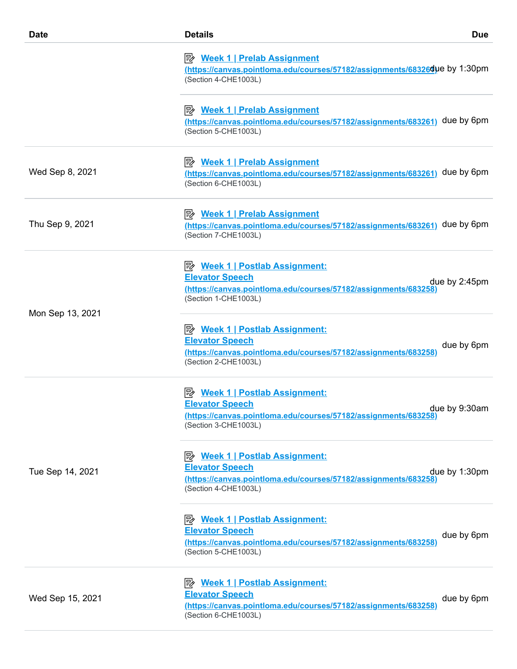| <b>Date</b>      | <b>Details</b><br><b>Due</b>                                                                                                                                                      |
|------------------|-----------------------------------------------------------------------------------------------------------------------------------------------------------------------------------|
|                  | <u>≫ Week 1   Prelab Assignment</u><br>https://canvas.pointloma.edu/courses/57182/assignments/68326due by 1:30pm<br>(Section 4-CHE1003L)                                          |
|                  | <u>≫ Week 1   Prelab Assignment</u><br>(https://canvas.pointloma.edu/courses/57182/assignments/683261) due by 6pm<br>(Section 5-CHE1003L)                                         |
| Wed Sep 8, 2021  | <u>≫ Week 1   Prelab Assignment</u><br>(https://canvas.pointloma.edu/courses/57182/assignments/683261) due by 6pm<br>(Section 6-CHE1003L)                                         |
| Thu Sep 9, 2021  | <b>B</b> Week 1   Prelab Assignment<br>(https://canvas.pointloma.edu/courses/57182/assignments/683261) due by 6pm<br>(Section 7-CHE1003L)                                         |
|                  | P <sup>2</sup> Week 1   Postlab Assignment:<br><b>Elevator Speech</b><br>due by 2:45pm<br>(https://canvas.pointloma.edu/courses/57182/assignments/683258)<br>(Section 1-CHE1003L) |
| Mon Sep 13, 2021 | <b>B</b> Week 1   Postlab Assignment:<br><b>Elevator Speech</b><br>due by 6pm<br>(https://canvas.pointloma.edu/courses/57182/assignments/683258)<br>(Section 2-CHE1003L)          |
|                  | <u>≫ Week 1   Postlab Assignment:</u><br><b>Elevator Speech</b><br>due by 9:30am<br>(https://canvas.pointloma.edu/courses/57182/assignments/683258)<br>(Section 3-CHE1003L)       |
| Tue Sep 14, 2021 | P <sup>2</sup> Week 1   Postlab Assignment:<br><b>Elevator Speech</b><br>due by 1:30pm<br>(https://canvas.pointloma.edu/courses/57182/assignments/683258)<br>(Section 4-CHE1003L) |
|                  | <b>B</b> Week 1   Postlab Assignment:<br><b>Elevator Speech</b><br>due by 6pm<br>(https://canvas.pointloma.edu/courses/57182/assignments/683258)<br>(Section 5-CHE1003L)          |
| Wed Sep 15, 2021 | P <sup>2</sup> Week 1   Postlab Assignment:<br><b>Elevator Speech</b><br>due by 6pm<br>(https://canvas.pointloma.edu/courses/57182/assignments/683258)<br>(Section 6-CHE1003L)    |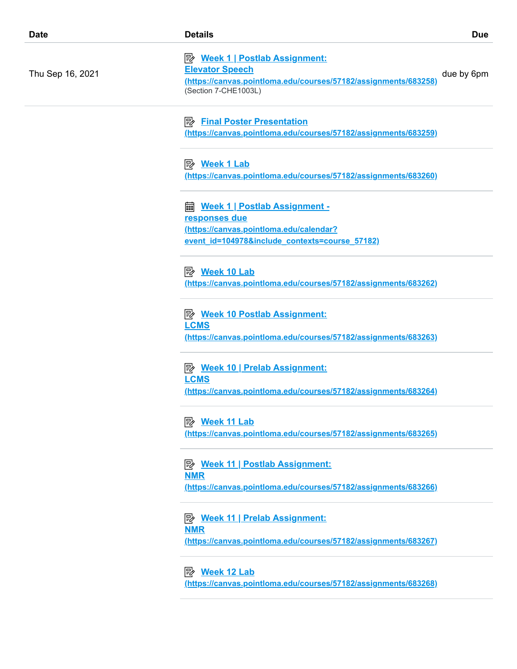| <b>Date</b>      | <b>Details</b>                                                                                                                                             | <b>Due</b> |
|------------------|------------------------------------------------------------------------------------------------------------------------------------------------------------|------------|
| Thu Sep 16, 2021 | <b>B</b> Week 1   Postlab Assignment:<br><b>Elevator Speech</b><br>(https://canvas.pointloma.edu/courses/57182/assignments/683258)<br>(Section 7-CHE1003L) | due by 6pm |
|                  | ⊯<br><b>Final Poster Presentation</b><br>(https://canvas.pointloma.edu/courses/57182/assignments/683259)                                                   |            |
|                  | <u>Week 1 Lab</u><br>(https://canvas.pointloma.edu/courses/57182/assignments/683260)                                                                       |            |
|                  | Week 1   Postlab Assignment -<br>翩<br>responses due<br>(https://canvas.pointloma.edu/calendar?                                                             |            |
|                  | event id=104978&include contexts=course 57182)                                                                                                             |            |
|                  | (https://canvas.pointloma.edu/courses/57182/assignments/683262)                                                                                            |            |
|                  | P <sup>2</sup> Week 10 Postlab Assignment:<br><b>LCMS</b><br>(https://canvas.pointloma.edu/courses/57182/assignments/683263)                               |            |
|                  | P <sup>i</sup> Week 10   Prelab Assignment:<br><b>LCMS</b><br>(https://canvas.pointloma.edu/courses/57182/assignments/683264)                              |            |
|                  | (https://canvas.pointloma.edu/courses/57182/assignments/683265)                                                                                            |            |
|                  | <b>B</b> Week 11   Postlab Assignment:<br><b>NMR</b><br>(https://canvas.pointloma.edu/courses/57182/assignments/683266)                                    |            |
|                  | <b>B</b> Week 11   Prelab Assignment:<br><b>NMR</b><br>(https://canvas.pointloma.edu/courses/57182/assignments/683267)                                     |            |
|                  | <b><i>B</i></b> Week 12 Lab<br>(https://canvas.pointloma.edu/courses/57182/assignments/683268)                                                             |            |
|                  |                                                                                                                                                            |            |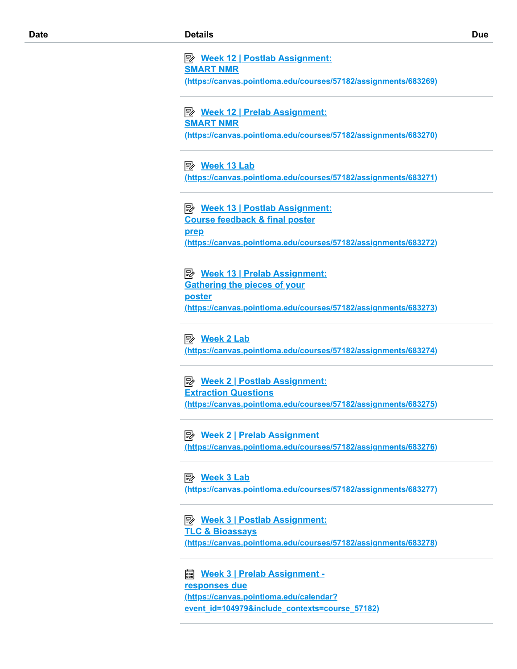**Week 12 | Postlab Assignment: SMART NMR [\(https://canvas.pointloma.edu/courses/57182/assignments/683269\)](https://canvas.pointloma.edu/courses/57182/assignments/683269)**

 **Week 12 | Prelab Assignment: SMART NMR [\(https://canvas.pointloma.edu/courses/57182/assignments/683270\)](https://canvas.pointloma.edu/courses/57182/assignments/683270)**

#### **Week 13 Lab**

**[\(https://canvas.pointloma.edu/courses/57182/assignments/683271\)](https://canvas.pointloma.edu/courses/57182/assignments/683271)**

 **Week 13 | Postlab Assignment: Course feedback & final poster prep [\(https://canvas.pointloma.edu/courses/57182/assignments/683272\)](https://canvas.pointloma.edu/courses/57182/assignments/683272)**

 **Week 13 | Prelab Assignment: Gathering the pieces of your poster [\(https://canvas.pointloma.edu/courses/57182/assignments/683273\)](https://canvas.pointloma.edu/courses/57182/assignments/683273)**

#### **Week 2 Lab**

**[\(https://canvas.pointloma.edu/courses/57182/assignments/683274\)](https://canvas.pointloma.edu/courses/57182/assignments/683274)**

 **Week 2 | Postlab Assignment: Extraction Questions [\(https://canvas.pointloma.edu/courses/57182/assignments/683275\)](https://canvas.pointloma.edu/courses/57182/assignments/683275)**

 **Week 2 | Prelab Assignment [\(https://canvas.pointloma.edu/courses/57182/assignments/683276\)](https://canvas.pointloma.edu/courses/57182/assignments/683276)**

 **Week 3 Lab [\(https://canvas.pointloma.edu/courses/57182/assignments/683277\)](https://canvas.pointloma.edu/courses/57182/assignments/683277)**

 **Week 3 | Postlab Assignment: TLC & Bioassays [\(https://canvas.pointloma.edu/courses/57182/assignments/683278\)](https://canvas.pointloma.edu/courses/57182/assignments/683278)**

 **Week 3 | Prelab Assignment responses due (https://canvas.pointloma.edu/calendar? [event\\_id=104979&include\\_contexts=course\\_57182\)](https://canvas.pointloma.edu/calendar?event_id=104979&include_contexts=course_57182)**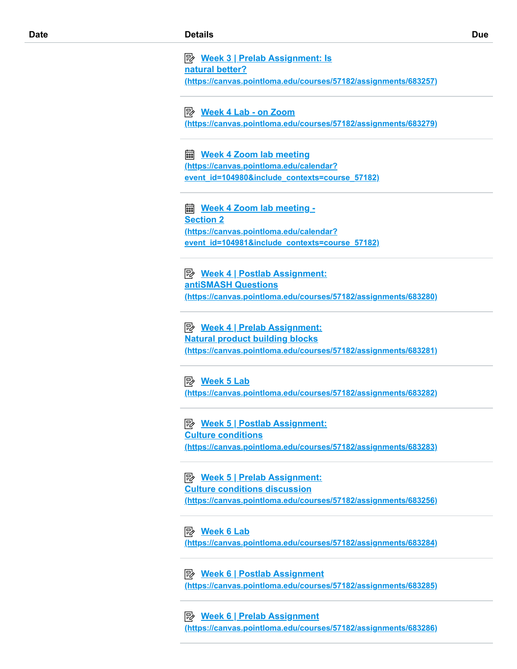**Week 3 | Prelab Assignment: Is natural better? [\(https://canvas.pointloma.edu/courses/57182/assignments/683257\)](https://canvas.pointloma.edu/courses/57182/assignments/683257)**

 **Week 4 Lab - on Zoom [\(https://canvas.pointloma.edu/courses/57182/assignments/683279\)](https://canvas.pointloma.edu/courses/57182/assignments/683279)**

 **Week 4 Zoom lab meeting (https://canvas.pointloma.edu/calendar? [event\\_id=104980&include\\_contexts=course\\_57182\)](https://canvas.pointloma.edu/calendar?event_id=104980&include_contexts=course_57182)**

 **Week 4 Zoom lab meeting - Section 2 (https://canvas.pointloma.edu/calendar? [event\\_id=104981&include\\_contexts=course\\_57182\)](https://canvas.pointloma.edu/calendar?event_id=104981&include_contexts=course_57182)**

 **Week 4 | Postlab Assignment: antiSMASH Questions [\(https://canvas.pointloma.edu/courses/57182/assignments/683280\)](https://canvas.pointloma.edu/courses/57182/assignments/683280)**

 **Week 4 | Prelab Assignment: Natural product building blocks [\(https://canvas.pointloma.edu/courses/57182/assignments/683281\)](https://canvas.pointloma.edu/courses/57182/assignments/683281)**

 **Week 5 Lab [\(https://canvas.pointloma.edu/courses/57182/assignments/683282\)](https://canvas.pointloma.edu/courses/57182/assignments/683282)**

 **Week 5 | Postlab Assignment: Culture conditions [\(https://canvas.pointloma.edu/courses/57182/assignments/683283\)](https://canvas.pointloma.edu/courses/57182/assignments/683283)**

 **Week 5 | Prelab Assignment: Culture conditions discussion [\(https://canvas.pointloma.edu/courses/57182/assignments/683256\)](https://canvas.pointloma.edu/courses/57182/assignments/683256)**

 **Week 6 Lab [\(https://canvas.pointloma.edu/courses/57182/assignments/683284\)](https://canvas.pointloma.edu/courses/57182/assignments/683284)**

 **Week 6 | Postlab Assignment [\(https://canvas.pointloma.edu/courses/57182/assignments/683285\)](https://canvas.pointloma.edu/courses/57182/assignments/683285)**

 **Week 6 | Prelab Assignment [\(https://canvas.pointloma.edu/courses/57182/assignments/683286\)](https://canvas.pointloma.edu/courses/57182/assignments/683286)**